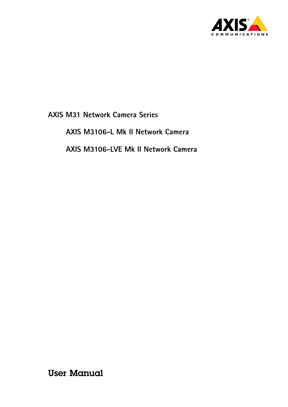

**AXIS M3106-L Mk II Network Camera**

**AXIS M3106-LVE Mk II Network Camera**

User Manual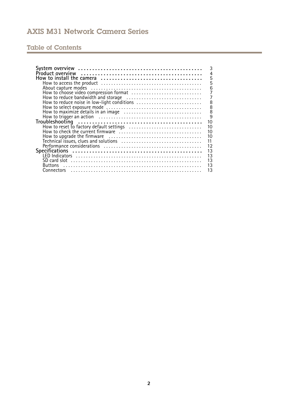# Table of Contents

| 3                                                                                                                                          |
|--------------------------------------------------------------------------------------------------------------------------------------------|
| $\overline{4}$                                                                                                                             |
| 5                                                                                                                                          |
| 5                                                                                                                                          |
| 6                                                                                                                                          |
| How to choose video compression format<br>$\overline{7}$                                                                                   |
| $\overline{7}$                                                                                                                             |
|                                                                                                                                            |
| $\overline{8}$<br>How to reduce noise in low-light conditions                                                                              |
|                                                                                                                                            |
| $\begin{array}{c} 8 \\ 8 \\ 9 \end{array}$                                                                                                 |
|                                                                                                                                            |
| How to select exposure mode<br>How to maximize details in an image<br>How to trigger an action<br>Troubleshooting<br>Troubleshooting<br>10 |
| 10                                                                                                                                         |
| 10                                                                                                                                         |
| 10                                                                                                                                         |
|                                                                                                                                            |
| $\frac{11}{12}$                                                                                                                            |
| 13                                                                                                                                         |
|                                                                                                                                            |
| $\frac{13}{13}$<br>$\frac{13}{13}$                                                                                                         |
|                                                                                                                                            |
| <b>Buttons</b>                                                                                                                             |
| 13                                                                                                                                         |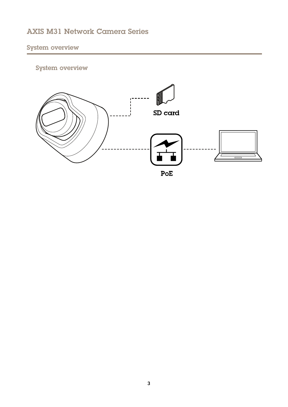# <span id="page-2-0"></span>System overview

# System overview

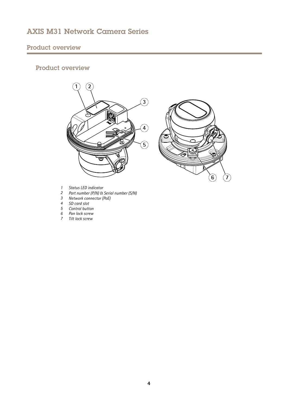# <span id="page-3-0"></span>Product overview

# Product overview





- *1 Status LED indicator*
- *<sup>2</sup> Part number (P/N) & Serial number (S/N)*
- *3 Network connector (PoE)*
- *4 SD card slot*
- *5 Control button*
- *6 Pan lock screw*
- *7 Tilt lock screw*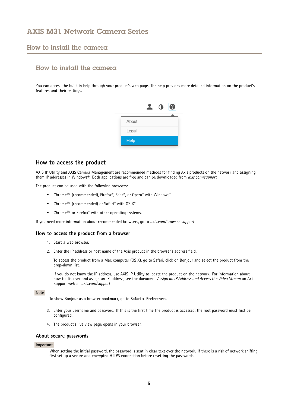### <span id="page-4-0"></span>How to install the camera

# How to install the camera

You can access the built-in help through your product's web page. The help provides more detailed information on the product's features and their settings.

|             | $\bullet$ | $\boldsymbol{c}$ |
|-------------|-----------|------------------|
|             |           |                  |
| About       |           |                  |
| Legal       |           |                  |
| <b>Help</b> |           |                  |

### **How to access the product**

AXIS IP Utility and AXIS Camera Management are recommended methods for finding Axis products on the network and assigning them IP addresses in Windows®. Both applications are free and can be downloaded from *axis.com/support*

The product can be used with the following browsers:

- Chrome™ (recommended), Firefox®, Edge®, or Opera® with Windows®
- Chrome<sup>TM</sup> (recommended) or Safari<sup>®</sup> with OS  $X^{\otimes}$
- Chrome<sup>TM</sup> or Firefox<sup>®</sup> with other operating systems.

If you need more information about recommended browsers, go to *axis.com/browser-support*

#### **How to access the product from <sup>a</sup> browser**

- 1. Start <sup>a</sup> web browser.
- 2. Enter the IP address or host name of the Axis product in the browser's address field.

To access the product from <sup>a</sup> Mac computer (OS X), go to Safari, click on Bonjour and select the product from the drop-down list.

If you do not know the IP address, use AXIS IP Utility to locate the product on the network. For information about how to discover and assign an IP address, see the document *Assign an IP Address and Access the Video Stream* on Axis Support web at *axis.com/support*

#### Note

To show Bonjour as <sup>a</sup> browser bookmark, go to **Safari <sup>&</sup>gt; Preferences**.

- 3. Enter your username and password. If this is the first time the product is accessed, the root password must first be configured.
- 4. The product's live view page opens in your browser.

#### **About secure passwords**

#### Important

When setting the initial password, the password is sent in clear text over the network. If there is <sup>a</sup> risk of network sniffing, first set up <sup>a</sup> secure and encrypted HTTPS connection before resetting the passwords.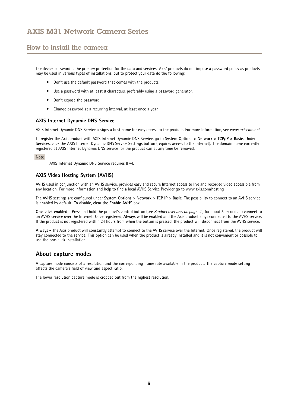## <span id="page-5-0"></span>How to install the camera

The device password is the primary protection for the data and services. Axis' products do not impose <sup>a</sup> password policy as products may be used in various types of installations, but to protect your data do the following:

- Don't use the default password that comes with the products.
- Use <sup>a</sup> password with at least 8 characters, preferably using <sup>a</sup> password generator.
- Don't expose the password.
- Change password at <sup>a</sup> recurring interval, at least once <sup>a</sup> year.

#### **AXIS Internet Dynamic DNS Service**

AXIS Internet Dynamic DNS Service assigns <sup>a</sup> host name for easy access to the product. For more information, see *www.axiscam.net*

To register the Axis product with AXIS Internet Dynamic DNS Service, go to **System Options <sup>&</sup>gt; Network <sup>&</sup>gt; TCP/IP <sup>&</sup>gt; Basic**. Under **Services**, click the AXIS Internet Dynamic DNS Service **Settings** button (requires access to the Internet). The domain name currently registered at AXIS Internet Dynamic DNS service for the product can at any time be removed.

#### Note

AXIS Internet Dynamic DNS Service requires IPv4.

#### **AXIS Video Hosting System (AVHS)**

AVHS used in conjunction with an AVHS service, provides easy and secure Internet access to live and recorded video accessible from any location. For more information and help to find <sup>a</sup> local AVHS Service Provider go to www.axis.com/hosting

The AVHS settings are configured under **System Options <sup>&</sup>gt; Network <sup>&</sup>gt; TCP IP <sup>&</sup>gt; Basic**. The possibility to connect to an AVHS service is enabled by default. To disable, clear the **Enable AVHS** box.

**One-click enabled -** Press and hold the product's control button (see *Product [overview](#page-3-0) on page [4](#page-3-0)* ) for about <sup>3</sup> seconds to connect to an AVHS service over the Internet. Once registered, **Always** will be enabled and the Axis product stays connected to the AVHS service. If the product is not registered within 24 hours from when the button is pressed, the product will disconnect from the AVHS service.

**Always -** The Axis product will constantly attempt to connect to the AVHS service over the Internet. Once registered, the product will stay connected to the service. This option can be used when the product is already installed and it is not convenient or possible to use the one-click installation.

### **About capture modes**

A capture mode consists of <sup>a</sup> resolution and the corresponding frame rate available in the product. The capture mode setting affects the camera's field of view and aspect ratio.

The lower resolution capture mode is cropped out from the highest resolution.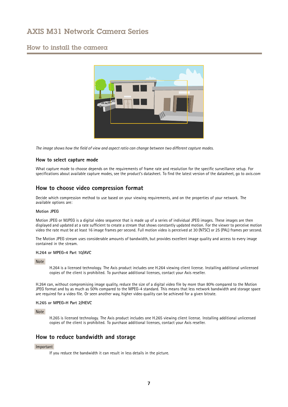## <span id="page-6-0"></span>How to install the camera



The image shows how the field of view and aspect ratio can change between two different capture modes.

#### **How to select capture mode**

What capture mode to choose depends on the requirements of frame rate and resolution for the specific surveillance setup. For specifications about available capture modes, see the product's datasheet. To find the latest version of the datasheet, go to *axis.com*

### **How to choose video compression format**

Decide which compression method to use based on your viewing requirements, and on the properties of your network. The available options are:

#### **Motion JPEG**

Motion JPEG or MJPEG is <sup>a</sup> digital video sequence that is made up of <sup>a</sup> series of individual JPEG images. These images are then displayed and updated at <sup>a</sup> rate sufficient to create <sup>a</sup> stream that shows constantly updated motion. For the viewer to perceive motion video the rate must be at least <sup>16</sup> image frames per second. Full motion video is perceived at <sup>30</sup> (NTSC) or <sup>25</sup> (PAL) frames per second.

The Motion JPEG stream uses considerable amounts of bandwidth, but provides excellent image quality and access to every image contained in the stream.

#### **H.264 or MPEG-4 Part 10/AVC**

Note

H.264 is <sup>a</sup> licensed technology. The Axis product includes one H.264 viewing client license. Installing additional unlicensed copies of the client is prohibited. To purchase additional licenses, contact your Axis reseller.

H.264 can, without compromising image quality, reduce the size of <sup>a</sup> digital video file by more than 80% compared to the Motion JPEG format and by as much as 50% compared to the MPEG-4 standard. This means that less network bandwidth and storage space are required for <sup>a</sup> video file. Or seen another way, higher video quality can be achieved for <sup>a</sup> given bitrate.

#### **H.265 or MPEG-H Part 2/HEVC**

Note

H.265 is licensed technology. The Axis product includes one H.265 viewing client license. Installing additional unlicensed copies of the client is prohibited. To purchase additional licenses, contact your Axis reseller.

## **How to reduce bandwidth and storage**

#### Important

If you reduce the bandwidth it can result in less details in the picture.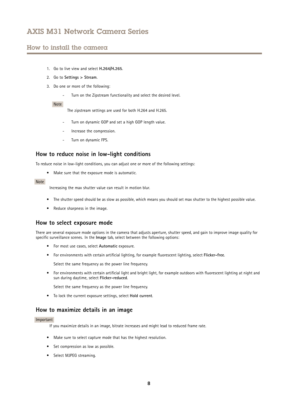### <span id="page-7-0"></span>How to install the camera

- 1. Go to live view and select **H.264/H.265**.
- 2. Go to **Settings <sup>&</sup>gt; Stream**.
- 3. Do one or more of the following:
	- -Turn on the Zipstream functionality and select the desired level.

#### Note

The zipstream settings are used for both H.264 and H.265.

- Turn on dynamic GOP and set <sup>a</sup> high GOP length value.
- Increase the compression.
- Turn on dynamic FPS.

## **How to reduce noise in low-light conditions**

To reduce noise in low-light conditions, you can adjust one or more of the following settings:

• Make sure that the exposure mode is automatic.

#### Note

Increasing the max shutter value can result in motion blur.

- The shutter speed should be as slow as possible, which means you should set max shutter to the highest possible value.
- Reduce sharpness in the image.

### **How to select exposure mode**

There are several exposure mode options in the camera that adjusts aperture, shutter speed, and gain to improve image quality for specific surveillance scenes. In the **Image** tab, select between the following options:

- For most use cases, select **Automatic** exposure.
- For environments with certain artificial lighting, for example fluorescent lighting, select **Flicker-free**.

Select the same frequency as the power line frequency.

• For environments with certain artificial light and bright light, for example outdoors with fluorescent lighting at night and sun during daytime, select **Flicker-reduced**.

Select the same frequency as the power line frequency.

• To lock the current exposure settings, select **Hold current**.

### **How to maximize details in an image**

#### Important

If you maximize details in an image, bitrate increases and might lead to reduced frame rate.

- Make sure to select capture mode that has the highest resolution.
- Set compression as low as possible.
- Select MJPEG streaming.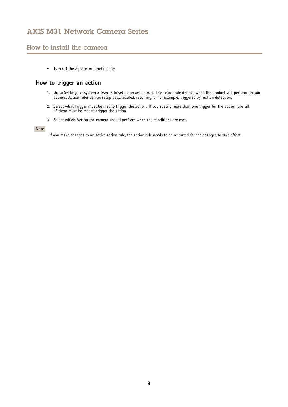## <span id="page-8-0"></span>How to install the camera

• Turn off the Zipstream functionality.

## **How to trigger an action**

- 1. Go to **Settings <sup>&</sup>gt; System <sup>&</sup>gt; Events** to set up an action rule. The action rule defines when the product will perform certain actions. Action rules can be setup as scheduled, recurring, or for example, triggered by motion detection.
- 2. Select what **Trigger** must be met to trigger the action. If you specify more than one trigger for the action rule, all of them must be met to trigger the action.
- 3. Select which **Action** the camera should perform when the conditions are met.

#### Note

If you make changes to an active action rule, the action rule needs to be restarted for the changes to take effect.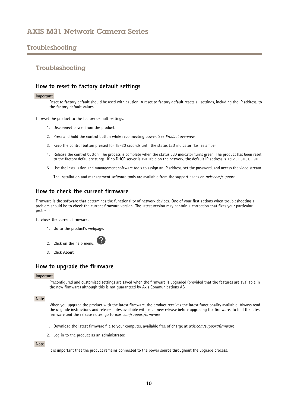## <span id="page-9-0"></span>Troubleshooting

### Troubleshooting

### **How to reset to factory default settings**

#### Important

Reset to factory default should be used with caution. A reset to factory default resets all settings, including the IP address, to the factory default values.

To reset the product to the factory default settings:

- 1. Disconnect power from the product.
- 2. Press and hold the control button while reconnecting power. See *Product [overview](#page-3-0)*.
- 3. Keep the control button pressed for 15–30 seconds until the status LED indicator flashes amber.
- 4. Release the control button. The process is complete when the status LED indicator turns green. The product has been reset to the factory default settings. If no DHCP server is available on the network, the default IP address is 192.168.0.90
- 5. Use the installation and management software tools to assign an IP address, set the password, and access the video stream.

The installation and management software tools are available from the support pages on *axis.com/support*

### **How to check the current firmware**

Firmware is the software that determines the functionality of network devices. One of your first actions when troubleshooting <sup>a</sup> problem should be to check the current firmware version. The latest version may contain <sup>a</sup> correction that fixes your particular problem.

To check the current firmware:

- 1. Go to the product's webpage.
- 2. Click on the help menu.
- 3. Click **About**.

### **How to upgrade the firmware**

#### Important

Preconfigured and customized settings are saved when the firmware is upgraded (provided that the features are available in the new firmware) although this is not guaranteed by Axis Communications AB.

#### Note

When you upgrade the product with the latest firmware, the product receives the latest functionality available. Always read the upgrade instructions and release notes available with each new release before upgrading the firmware. To find the latest firmware and the release notes, go to *axis.com/support/firmware*

- 1. Download the latest firmware file to your computer, available free of charge at *axis.com/support/firmware*
- 2. Log in to the product as an administrator.

#### Note

It is important that the product remains connected to the power source throughout the upgrade process.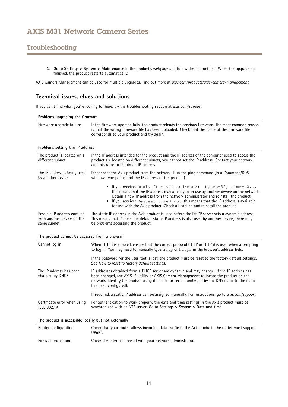# <span id="page-10-0"></span>Troubleshooting

3. Go to **Settings <sup>&</sup>gt; System <sup>&</sup>gt; Maintenance** in the product's webpage and follow the instructions. When the upgrade has finished, the product restarts automatically.

AXIS Camera Management can be used for multiple upgrades. Find out more at *axis.com/products/axis-camera-management*

## **Technical issues, clues and solutions**

If you can't find what you're looking for here, try the troubleshooting section at *axis.com/support*

| Problems upgrading the firmware |                                                                                                                                                                                                                                               |  |
|---------------------------------|-----------------------------------------------------------------------------------------------------------------------------------------------------------------------------------------------------------------------------------------------|--|
| Firmware upgrade failure        | If the firmware upgrade fails, the product reloads the previous firmware. The most common reason<br>is that the wrong firmware file has been uploaded. Check that the name of the firmware file<br>corresponds to your product and try again. |  |

#### **Problems setting the IP address**

| The product is located on a<br>different subnet | If the IP address intended for the product and the IP address of the computer used to access the<br>product are located on different subnets, you cannot set the IP address. Contact your network<br>administrator to obtain an IP address.                                                                                                                                                                                |
|-------------------------------------------------|----------------------------------------------------------------------------------------------------------------------------------------------------------------------------------------------------------------------------------------------------------------------------------------------------------------------------------------------------------------------------------------------------------------------------|
| The IP address is being used                    | Disconnect the Axis product from the network. Run the ping command (in a Command/DOS                                                                                                                                                                                                                                                                                                                                       |
| by another device                               | window, type ping and the IP address of the product):                                                                                                                                                                                                                                                                                                                                                                      |
|                                                 | • If you receive: Reply from <ip address="">: bytes=32; time=10<br/>this means that the IP address may already be in use by another device on the network.<br/>Obtain a new IP address from the network administrator and reinstall the product.<br/>• If you receive: Request timed out, this means that the IP address is available<br/>for use with the Axis product. Check all cabling and reinstall the product.</ip> |
| Possible IP address conflict                    | The static IP address in the Axis product is used before the DHCP server sets a dynamic address.                                                                                                                                                                                                                                                                                                                           |
| with another device on the                      | This means that if the same default static IP address is also used by another device, there may                                                                                                                                                                                                                                                                                                                            |
| same subnet                                     | be problems accessing the product.                                                                                                                                                                                                                                                                                                                                                                                         |

## **The product cannot be accessed from <sup>a</sup> browser**

| Cannot log in                                        | When HTTPS is enabled, ensure that the correct protocol (HTTP or HTTPS) is used when attempting<br>to log in. You may need to manually type http or https in the browser's address field.                                                                                                                          |
|------------------------------------------------------|--------------------------------------------------------------------------------------------------------------------------------------------------------------------------------------------------------------------------------------------------------------------------------------------------------------------|
|                                                      | If the password for the user root is lost, the product must be reset to the factory default settings.<br>See How to reset to factory default settings.                                                                                                                                                             |
| The IP address has been<br>changed by DHCP           | IP addresses obtained from a DHCP server are dynamic and may change. If the IP address has<br>been changed, use AXIS IP Utility or AXIS Camera Management to locate the product on the<br>network. Identify the product using its model or serial number, or by the DNS name (if the name<br>has been configured). |
|                                                      | If required, a static IP address can be assigned manually. For instructions, go to <i>axis.com/support.</i>                                                                                                                                                                                                        |
| Certificate error when using<br>IEEE 802.1X          | For authentication to work properly, the date and time settings in the Axis product must be<br>synchronized with an NTP server. Go to Settings $>$ System $>$ Date and time                                                                                                                                        |
| The product is accessible locally but not externally |                                                                                                                                                                                                                                                                                                                    |

| Router configuration | Check that your router allows incoming data traffic to the Axis product. The router must support<br>$U\text{PnP}^*$ |
|----------------------|---------------------------------------------------------------------------------------------------------------------|
| Firewall protection  | Check the Internet firewall with your network administrator.                                                        |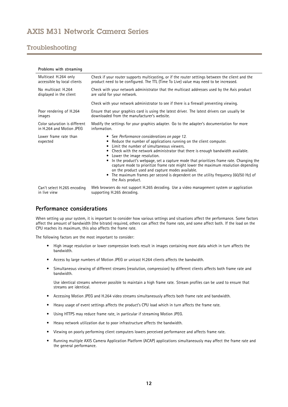## <span id="page-11-0"></span>Troubleshooting

| Problems with streaming           |                                                                                                                                                                                                                                                                                                                                                                                                                                                                                                                                                                                                                               |
|-----------------------------------|-------------------------------------------------------------------------------------------------------------------------------------------------------------------------------------------------------------------------------------------------------------------------------------------------------------------------------------------------------------------------------------------------------------------------------------------------------------------------------------------------------------------------------------------------------------------------------------------------------------------------------|
| Multicast H.264 only              | Check if your router supports multicasting, or if the router settings between the client and the                                                                                                                                                                                                                                                                                                                                                                                                                                                                                                                              |
| accessible by local clients       | product need to be configured. The TTL (Time To Live) value may need to be increased.                                                                                                                                                                                                                                                                                                                                                                                                                                                                                                                                         |
| No multicast H.264                | Check with your network administrator that the multicast addresses used by the Axis product                                                                                                                                                                                                                                                                                                                                                                                                                                                                                                                                   |
| displayed in the client           | are valid for your network.                                                                                                                                                                                                                                                                                                                                                                                                                                                                                                                                                                                                   |
|                                   | Check with your network administrator to see if there is a firewall preventing viewing.                                                                                                                                                                                                                                                                                                                                                                                                                                                                                                                                       |
| Poor rendering of H.264           | Ensure that your graphics card is using the latest driver. The latest drivers can usually be                                                                                                                                                                                                                                                                                                                                                                                                                                                                                                                                  |
| images                            | downloaded from the manufacturer's website.                                                                                                                                                                                                                                                                                                                                                                                                                                                                                                                                                                                   |
| Color saturation is different     | Modify the settings for your graphics adapter. Go to the adapter's documentation for more                                                                                                                                                                                                                                                                                                                                                                                                                                                                                                                                     |
| in H.264 and Motion JPEG          | information.                                                                                                                                                                                                                                                                                                                                                                                                                                                                                                                                                                                                                  |
| Lower frame rate than<br>expected | • See Performance considerations on page 12.<br>Reduce the number of applications running on the client computer.<br>Limit the number of simultaneous viewers.<br>Check with the network administrator that there is enough bandwidth available.<br>Lower the image resolution.<br>In the product's webpage, set a capture mode that prioritizes frame rate. Changing the<br>capture mode to prioritize frame rate might lower the maximum resolution depending<br>on the product used and capture modes available.<br>The maximum frames per second is dependent on the utility frequency (60/50 Hz) of<br>the Axis product. |
| Can't select H.265 encoding       | Web browsers do not support H.265 decoding. Use a video management system or application                                                                                                                                                                                                                                                                                                                                                                                                                                                                                                                                      |
| in live view                      | supporting H.265 decoding.                                                                                                                                                                                                                                                                                                                                                                                                                                                                                                                                                                                                    |

## **Performance considerations**

When setting up your system, it is important to consider how various settings and situations affect the performance. Some factors affect the amount of bandwidth (the bitrate) required, others can affect the frame rate, and some affect both. If the load on the CPU reaches its maximum, this also affects the frame rate.

The following factors are the most important to consider:

- High image resolution or lower compression levels result in images containing more data which in turn affects the bandwidth.
- •Access by large numbers of Motion JPEG or unicast H.264 clients affects the bandwidth.
- • Simultaneous viewing of different streams (resolution, compression) by different clients affects both frame rate and bandwidth.

Use identical streams wherever possible to maintain <sup>a</sup> high frame rate. Stream profiles can be used to ensure that streams are identical.

- Accessing Motion JPEG and H.264 video streams simultaneously affects both frame rate and bandwidth.
- Heavy usage of event settings affects the product's CPU load which in turn affects the frame rate.
- •Using HTTPS may reduce frame rate, in particular if streaming Motion JPEG.
- •Heavy network utilization due to poor infrastructure affects the bandwidth.
- •Viewing on poorly performing client computers lowers perceived performance and affects frame rate.
- • Running multiple AXIS Camera Application Platform (ACAP) applications simultaneously may affect the frame rate and the general performance.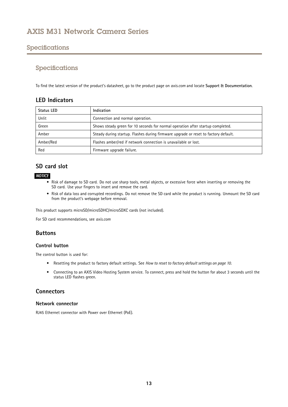## <span id="page-12-0"></span>Specifications

## Specifications

To find the latest version of the product's datasheet, go to the product page on *axis.com* and locate **Support & Documentation**.

## **LED Indicators**

| Status LED | Indication                                                                          |
|------------|-------------------------------------------------------------------------------------|
| Unlit      | Connection and normal operation.                                                    |
| Green      | Shows steady green for 10 seconds for normal operation after startup completed.     |
| Amber      | Steady during startup. Flashes during firmware upgrade or reset to factory default. |
| Amber/Red  | Flashes amber/red if network connection is unavailable or lost.                     |
| Red        | Firmware upgrade failure.                                                           |

## **SD card slot**

### *NOTICE*

- Risk of damage to SD card. Do not use sharp tools, metal objects, or excessive force when inserting or removing the SD card. Use your fingers to insert and remove the card.
- Risk of data loss and corrupted recordings. Do not remove the SD card while the product is running. Unmount the SD card from the product's webpage before removal.

This product supports microSD/microSDHC/microSDXC cards (not included).

For SD card recommendations, see *axis.com*

## **Buttons**

### **Control button**

The control button is used for:

- Resetting the product to factory default settings. See *How to reset to factory default [settings](#page-9-0) on page [10](#page-9-0)*.
- Connecting to an AXIS Video Hosting System service. To connect, press and hold the button for about 3 seconds until the status LED flashes green.

## **Connectors**

#### **Network connector**

RJ45 Ethernet connector with Power over Ethernet (PoE).